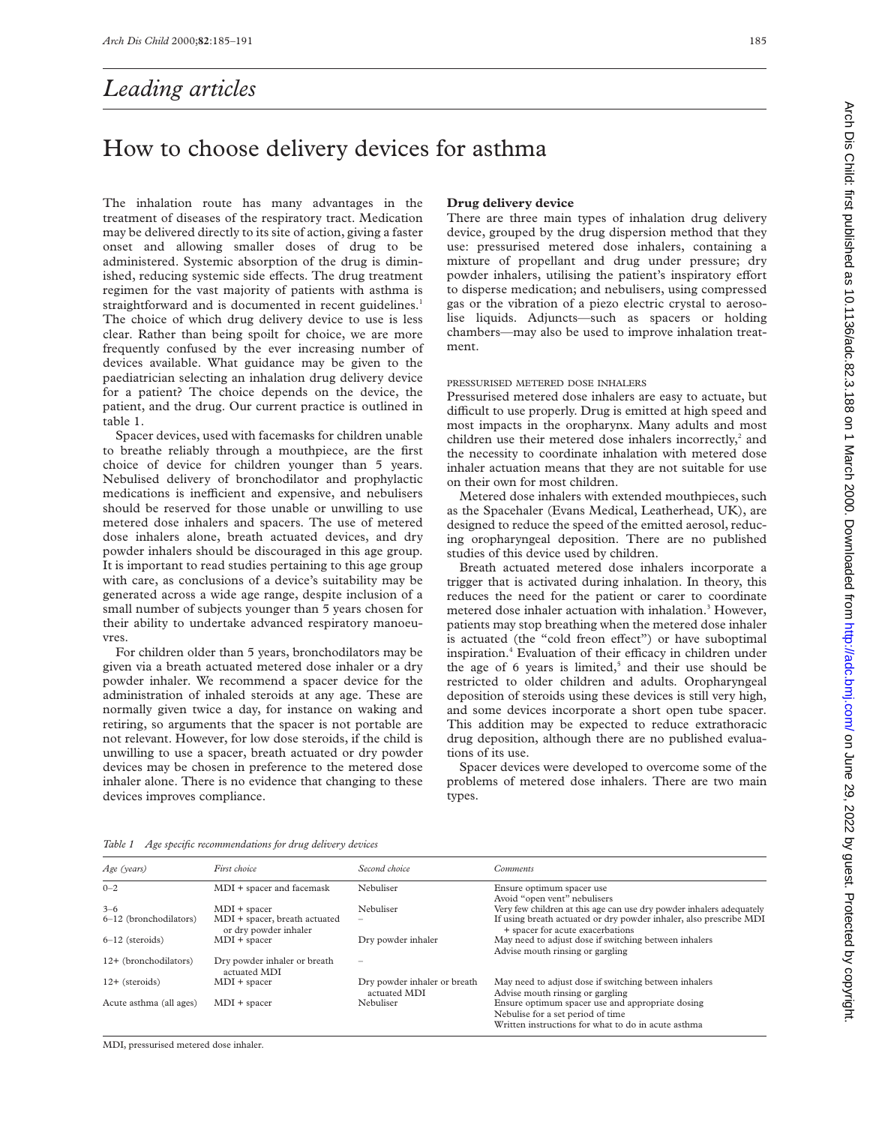## *Leading articles*

# How to choose delivery devices for asthma

The inhalation route has many advantages in the treatment of diseases of the respiratory tract. Medication may be delivered directly to its site of action, giving a faster onset and allowing smaller doses of drug to be administered. Systemic absorption of the drug is diminished, reducing systemic side effects. The drug treatment regimen for the vast majority of patients with asthma is straightforward and is documented in recent guidelines.<sup>1</sup> The choice of which drug delivery device to use is less clear. Rather than being spoilt for choice, we are more frequently confused by the ever increasing number of devices available. What guidance may be given to the paediatrician selecting an inhalation drug delivery device for a patient? The choice depends on the device, the patient, and the drug. Our current practice is outlined in table 1.

Spacer devices, used with facemasks for children unable to breathe reliably through a mouthpiece, are the first choice of device for children younger than 5 years. Nebulised delivery of bronchodilator and prophylactic medications is inefficient and expensive, and nebulisers should be reserved for those unable or unwilling to use metered dose inhalers and spacers. The use of metered dose inhalers alone, breath actuated devices, and dry powder inhalers should be discouraged in this age group. It is important to read studies pertaining to this age group with care, as conclusions of a device's suitability may be generated across a wide age range, despite inclusion of a small number of subjects younger than 5 years chosen for their ability to undertake advanced respiratory manoeuvres.

For children older than 5 years, bronchodilators may be given via a breath actuated metered dose inhaler or a dry powder inhaler. We recommend a spacer device for the administration of inhaled steroids at any age. These are normally given twice a day, for instance on waking and retiring, so arguments that the spacer is not portable are not relevant. However, for low dose steroids, if the child is unwilling to use a spacer, breath actuated or dry powder devices may be chosen in preference to the metered dose inhaler alone. There is no evidence that changing to these devices improves compliance.

### **Drug delivery device**

There are three main types of inhalation drug delivery device, grouped by the drug dispersion method that they use: pressurised metered dose inhalers, containing a mixture of propellant and drug under pressure; dry powder inhalers, utilising the patient's inspiratory effort to disperse medication; and nebulisers, using compressed gas or the vibration of a piezo electric crystal to aerosolise liquids. Adjuncts—such as spacers or holding chambers—may also be used to improve inhalation treatment.

### PRESSURISED METERED DOSE INHALERS

Pressurised metered dose inhalers are easy to actuate, but difficult to use properly. Drug is emitted at high speed and most impacts in the oropharynx. Many adults and most children use their metered dose inhalers incorrectly, $2$  and the necessity to coordinate inhalation with metered dose inhaler actuation means that they are not suitable for use on their own for most children.

Metered dose inhalers with extended mouthpieces, such as the Spacehaler (Evans Medical, Leatherhead, UK), are designed to reduce the speed of the emitted aerosol, reducing oropharyngeal deposition. There are no published studies of this device used by children.

Breath actuated metered dose inhalers incorporate a trigger that is activated during inhalation. In theory, this reduces the need for the patient or carer to coordinate metered dose inhaler actuation with inhalation.<sup>3</sup> However, patients may stop breathing when the metered dose inhaler is actuated (the "cold freon effect") or have suboptimal inspiration.<sup>4</sup> Evaluation of their efficacy in children under the age of 6 years is limited, $5$  and their use should be restricted to older children and adults. Oropharyngeal deposition of steroids using these devices is still very high, and some devices incorporate a short open tube spacer. This addition may be expected to reduce extrathoracic drug deposition, although there are no published evaluations of its use.

Spacer devices were developed to overcome some of the problems of metered dose inhalers. There are two main types.

| Table 1 | Age specific recommendations for drug delivery devices |  |  |
|---------|--------------------------------------------------------|--|--|
|         |                                                        |  |  |

| Age (years)             | First choice                                           | Second choice                                | Comments                                                                                                                                     |
|-------------------------|--------------------------------------------------------|----------------------------------------------|----------------------------------------------------------------------------------------------------------------------------------------------|
| $0 - 2$                 | MDI + spacer and facemask                              | Nebuliser                                    | Ensure optimum spacer use<br>Avoid "open vent" nebulisers                                                                                    |
| $3 - 6$                 | $MDI + spacer$                                         | Nebuliser                                    | Very few children at this age can use dry powder inhalers adequately                                                                         |
| 6-12 (bronchodilators)  | MDI + spacer, breath actuated<br>or dry powder inhaler |                                              | If using breath actuated or dry powder inhaler, also prescribe MDI<br>+ spacer for acute exacerbations                                       |
| $6-12$ (steroids)       | $MDI + spacer$                                         | Dry powder inhaler                           | May need to adjust dose if switching between inhalers<br>Advise mouth rinsing or gargling                                                    |
| 12+ (bronchodilators)   | Dry powder inhaler or breath<br>actuated MDI           |                                              |                                                                                                                                              |
| $12+$ (steroids)        | $MDI + spacer$                                         | Dry powder inhaler or breath<br>actuated MDI | May need to adjust dose if switching between inhalers<br>Advise mouth rinsing or gargling                                                    |
| Acute asthma (all ages) | $MDI + spacer$                                         | Nebuliser                                    | Ensure optimum spacer use and appropriate dosing<br>Nebulise for a set period of time<br>Written instructions for what to do in acute asthma |

MDI, pressurised metered dose inhaler.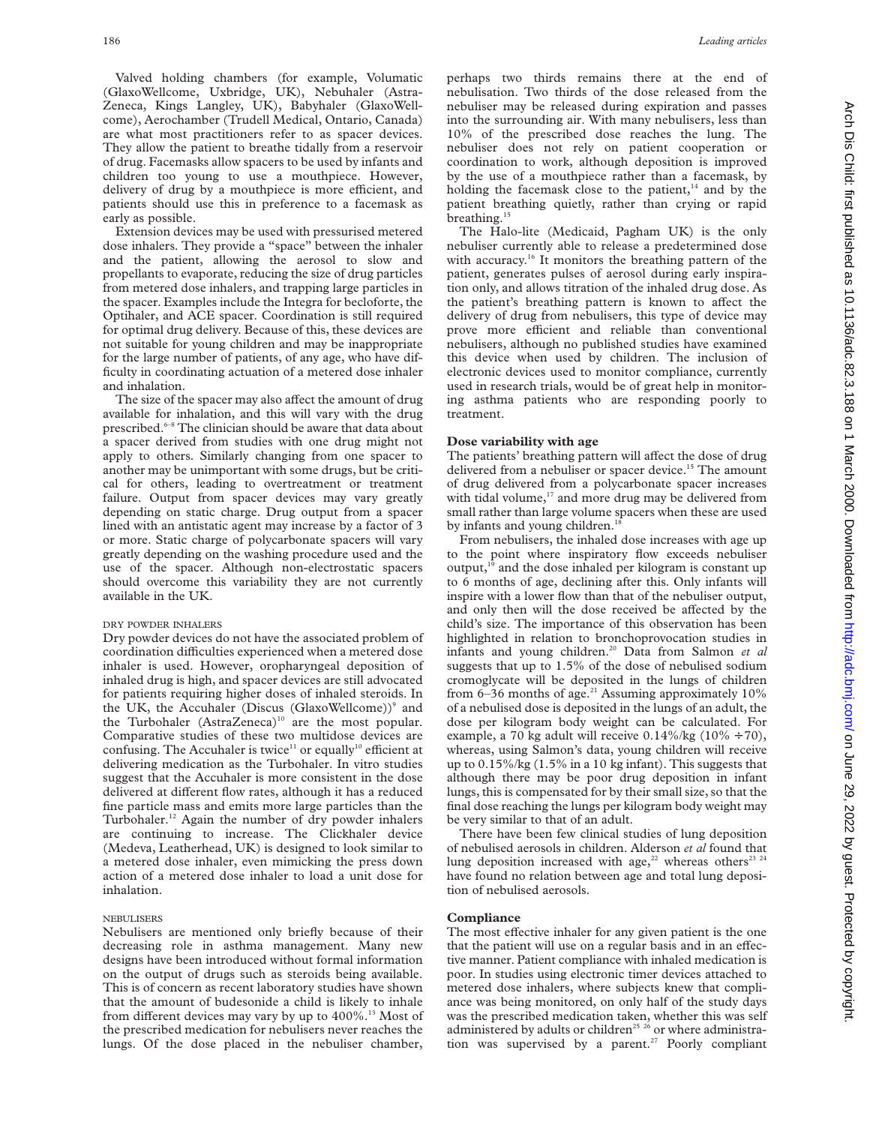Valved holding chambers (for example, Volumatic (GlaxoWellcome, Uxbridge, UK), Nebuhaler (Astra-Zeneca, Kings Langley, UK), Babyhaler (GlaxoWellcome), Aerochamber (Trudell Medical, Ontario, Canada) are what most practitioners refer to as spacer devices. They allow the patient to breathe tidally from a reservoir of drug. Facemasks allow spacers to be used by infants and children too young to use a mouthpiece. However, delivery of drug by a mouthpiece is more efficient, and patients should use this in preference to a facemask as early as possible.

Extension devices may be used with pressurised metered dose inhalers. They provide a "space" between the inhaler and the patient, allowing the aerosol to slow and propellants to evaporate, reducing the size of drug particles from metered dose inhalers, and trapping large particles in the spacer. Examples include the Integra for becloforte, the Optihaler, and ACE spacer. Coordination is still required for optimal drug delivery. Because of this, these devices are not suitable for young children and may be inappropriate for the large number of patients, of any age, who have difficulty in coordinating actuation of a metered dose inhaler and inhalation.

The size of the spacer may also affect the amount of drug available for inhalation, and this will vary with the drug prescribed.<sup>6-8</sup> The clinician should be aware that data about a spacer derived from studies with one drug might not apply to others. Similarly changing from one spacer to another may be unimportant with some drugs, but be critical for others, leading to overtreatment or treatment failure. Output from spacer devices may vary greatly depending on static charge. Drug output from a spacer lined with an antistatic agent may increase by a factor of 3 or more. Static charge of polycarbonate spacers will vary greatly depending on the washing procedure used and the use of the spacer. Although non-electrostatic spacers should overcome this variability they are not currently available in the UK.

#### DRY POWDER INHALERS

Dry powder devices do not have the associated problem of coordination difficulties experienced when a metered dose inhaler is used. However, oropharyngeal deposition of inhaled drug is high, and spacer devices are still advocated for patients requiring higher doses of inhaled steroids. In the UK, the Accuhaler (Discus (GlaxoWellcome)) $9$  and the Turbohaler (AstraZeneca)<sup>10</sup> are the most popular. Comparative studies of these two multidose devices are confusing. The Accuhaler is twice<sup>11</sup> or equally<sup>10</sup> efficient at delivering medication as the Turbohaler. In vitro studies suggest that the Accuhaler is more consistent in the dose delivered at different flow rates, although it has a reduced fine particle mass and emits more large particles than the Turbohaler.<sup>12</sup> Again the number of dry powder inhalers are continuing to increase. The Clickhaler device (Medeva, Leatherhead, UK) is designed to look similar to a metered dose inhaler, even mimicking the press down action of a metered dose inhaler to load a unit dose for inhalation.

#### NEBULISERS

Nebulisers are mentioned only briefly because of their decreasing role in asthma management. Many new designs have been introduced without formal information on the output of drugs such as steroids being available. This is of concern as recent laboratory studies have shown that the amount of budesonide a child is likely to inhale from different devices may vary by up to  $400\%$ .<sup>13</sup> Most of the prescribed medication for nebulisers never reaches the lungs. Of the dose placed in the nebuliser chamber,

perhaps two thirds remains there at the end of nebulisation. Two thirds of the dose released from the nebuliser may be released during expiration and passes into the surrounding air. With many nebulisers, less than 10% of the prescribed dose reaches the lung. The nebuliser does not rely on patient cooperation or coordination to work, although deposition is improved by the use of a mouthpiece rather than a facemask, by holding the facemask close to the patient, $14$  and by the patient breathing quietly, rather than crying or rapid breathing.<sup>15</sup>

The Halo-lite (Medicaid, Pagham UK) is the only nebuliser currently able to release a predetermined dose with accuracy.<sup>16</sup> It monitors the breathing pattern of the patient, generates pulses of aerosol during early inspiration only, and allows titration of the inhaled drug dose. As the patient's breathing pattern is known to affect the delivery of drug from nebulisers, this type of device may prove more efficient and reliable than conventional nebulisers, although no published studies have examined this device when used by children. The inclusion of electronic devices used to monitor compliance, currently used in research trials, would be of great help in monitoring asthma patients who are responding poorly to treatment.

### **Dose variability with age**

The patients' breathing pattern will affect the dose of drug delivered from a nebuliser or spacer device.<sup>15</sup> The amount of drug delivered from a polycarbonate spacer increases with tidal volume, $17$  and more drug may be delivered from small rather than large volume spacers when these are used by infants and young children.<sup>18</sup>

From nebulisers, the inhaled dose increases with age up to the point where inspiratory flow exceeds nebuliser output,<sup>19</sup> and the dose inhaled per kilogram is constant up to 6 months of age, declining after this. Only infants will inspire with a lower flow than that of the nebuliser output, and only then will the dose received be affected by the child's size. The importance of this observation has been highlighted in relation to bronchoprovocation studies in infants and young children.20 Data from Salmon *et al* suggests that up to 1.5% of the dose of nebulised sodium cromoglycate will be deposited in the lungs of children from 6–36 months of age.<sup>21</sup> Assuming approximately  $10\%$ of a nebulised dose is deposited in the lungs of an adult, the dose per kilogram body weight can be calculated. For example, a 70 kg adult will receive  $0.14\%/kg$  ( $10\% \div 70$ ), whereas, using Salmon's data, young children will receive up to 0.15%/kg (1.5% in a 10 kg infant). This suggests that although there may be poor drug deposition in infant lungs, this is compensated for by their small size, so that the final dose reaching the lungs per kilogram body weight may be very similar to that of an adult.

There have been few clinical studies of lung deposition of nebulised aerosols in children. Alderson *et al* found that lung deposition increased with age,<sup>22</sup> whereas others<sup>23 24</sup> have found no relation between age and total lung deposition of nebulised aerosols.

### **Compliance**

The most effective inhaler for any given patient is the one that the patient will use on a regular basis and in an effective manner. Patient compliance with inhaled medication is poor. In studies using electronic timer devices attached to metered dose inhalers, where subjects knew that compliance was being monitored, on only half of the study days was the prescribed medication taken, whether this was self administered by adults or children<sup>25</sup> <sup>26</sup> or where administration was supervised by a parent.<sup>27</sup> Poorly compliant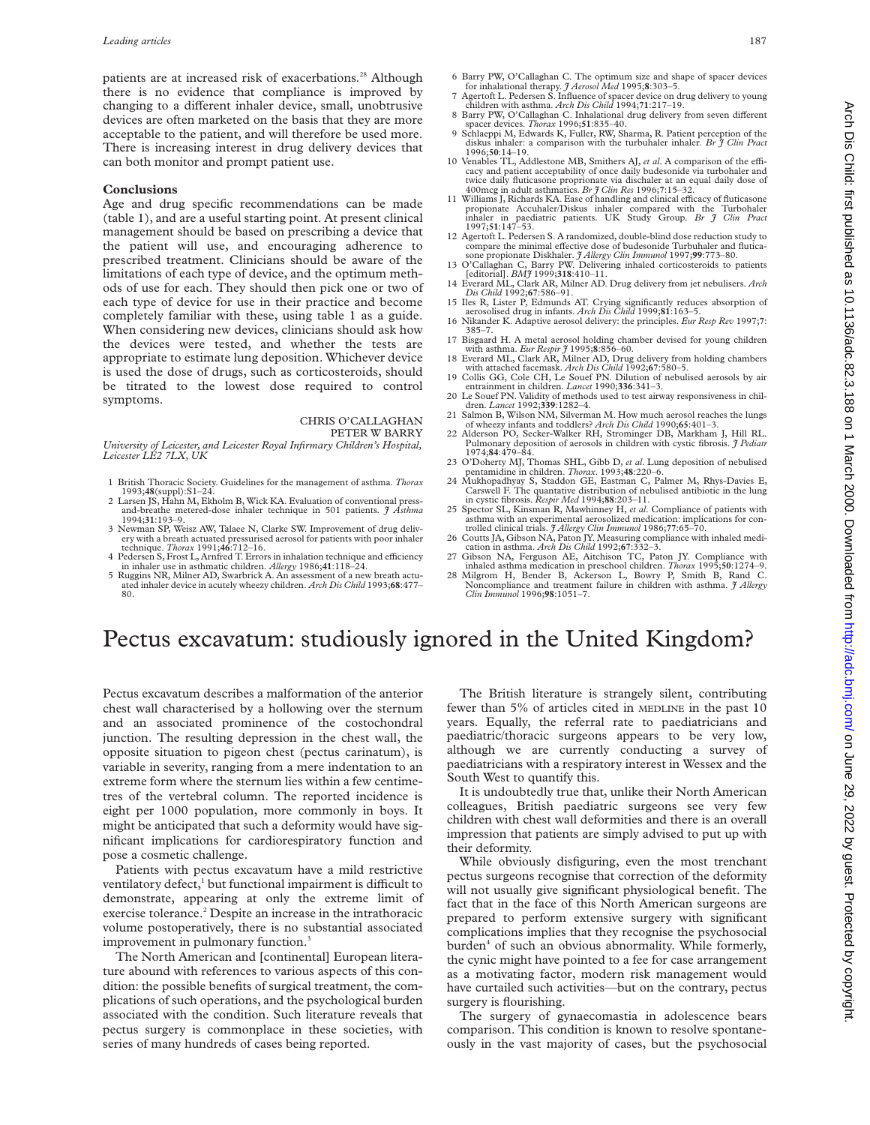patients are at increased risk of exacerbations.<sup>28</sup> Although there is no evidence that compliance is improved by changing to a different inhaler device, small, unobtrusive devices are often marketed on the basis that they are more acceptable to the patient, and will therefore be used more. There is increasing interest in drug delivery devices that can both monitor and prompt patient use.

### **Conclusions**

Age and drug specific recommendations can be made (table 1), and are a useful starting point. At present clinical management should be based on prescribing a device that the patient will use, and encouraging adherence to prescribed treatment. Clinicians should be aware of the limitations of each type of device, and the optimum methods of use for each. They should then pick one or two of each type of device for use in their practice and become completely familiar with these, using table 1 as a guide. When considering new devices, clinicians should ask how the devices were tested, and whether the tests are appropriate to estimate lung deposition. Whichever device is used the dose of drugs, such as corticosteroids, should be titrated to the lowest dose required to control symptoms.

#### CHRIS O'CALLAGHAN PETER W BARRY

*University of Leicester, and Leicester Royal Infirmary Children's Hospital, Leicester LE2 7LX, UK*

- 1 British Thoracic Society. Guidelines for the management of asthma. *Thorax*
- 1993;**48**(suppl):S1–24. 2 Larsen JS, Hahn M, Ekholm B, Wick KA. Evaluation of conventional pressand-breathe metered-dose inhaler technique in 501 patients. *J Asthma* 1994;**31**:193–9.
- 3 Newman SP, Weisz AW, Talaee N, Clarke SW. Improvement of drug delivery with a breath actuated pressurised aerosol for patients with poor inhaler technique. *Thorax* 1991;**46**:712–16.
- 4 Pedersen S, Frost L, Arnfred T. Errors in inhalation technique and efficiency<br>in inhaler use in asthmatic children. Allergy 1986;41:118–24.<br>5 Ruggins NR, Milner AD, Swarbrick A. An assessment of a new breath actu-
- ated inhaler device in acutely wheezy children. *Arch Dis Child* 1993;**68**:477– 80.
- 6 Barry PW, O'Callaghan C. The optimum size and shape of spacer devices for inhalational therapy. *J Aerosol Med* 1995;**8**:303–5.
- 7 Agertoft L. Pedersen S. Influence of spacer device on drug delivery to young children with asthma. *Arch Dis Child* 1994;**71**:217–19.
- 8 Barry PW, O'Callaghan C. Inhalational drug delivery from seven different spacer devices. *Thorax* 1996;**51**:835–40. 9 Schlaeppi M, Edwards K, Fuller, RW, Sharma, R. Patient perception of the diskus inhaler: a comparison with the turbuhaler inhaler. *Br J Clin Pract*
- 1996;**50**:14–19. 10 Venables TL, Addlestone MB, Smithers  $AI$ , *et al.* A comparison of the efficancy and patient acceptability of once daily budesonide via turbohaler and twice daily distance and proprionate via dischaler at an equal dail
- 400mcg in adult asthmatics. *Br J Clin Res* 1996;7:15–32.<br>11 Williams J, Richards KA. Ease of handling and clinical efficacy of fluticasone propionate Accuhaler/Diskus inhaler compared with the Turbohaler inhaler in paediatric patients. UK Study Group. *Br J Clin Pract* 1997;**51**:147–53.
- 12 Agertoft L. Pedersen S. A randomized, double-blind dose reduction study to
- compare the minimal effective dose of budesonide Turbuhaler and flutica-<br>sone propionate Diskhaler.  $\tilde{\jmath}$  Allergy Clin Immunol 1997;99:773-80.<br>13 O'Callaghan C, Barry PW. Delivering inhaled corticosteroids to patients
- 14 Everard ML, Clark AR, Milner AD. Drug delivery from jet nebulisers. *Arch Dis Child* 1992;**67**:586–91.
- 15 Iles R, Lister P, Edmunds AT. Crying significantly reduces absorption of aerosolised drug in infants. *Arch Dis Child* 1999;**81**:163–5. 16 Nikander K. Adaptive aerosol delivery: the principles. *Eur Resp Rev* 1997;**7**:
- 385–7.
- 17 Bisgaard H. A metal aerosol holding chamber devised for young children with asthma. *Eur Respir* J 1995;8:856-60.<br>18 Everard ML, Clark AR, Milner AD, Drug delivery from holding chambers with attached facemask. Arch Dis
- 
- 19 Collis GG, Cole CH, Le Souef PN. Dilution of nebulised aerosols by air entrainment in children. *Lancet* 1990;**336**:341–3.
- 20 Le Souef PN. Validity of methods used to test airway responsiveness in chil-dren. *Lancet* 1992;**339**:1282–4.
- 21 Salmon B, Wilson NM, Silverman M. How much aerosol reaches the lungs of wheezy infants and toddlers? *Arch Dis Child* 1990;**65**:401–3. 22 Alderson PO, Secker-Walker RH, Strominger DB, Markham J, Hill RL. Pulmonary deposition of aerosols in children with cystic fibrosis. *J Pediatr*
- 1974;**84**:479–84. 23 O'Doherty MJ, Thomas SHL, Gibb D, *et al*. Lung deposition of nebulised
- 
- pentamidine in children. *Thorax*. 1993;48:220-6.<br>24 Mukhopadhyay S, Staddon GE, Eastman C, Palmer M, Rhys-Davies E, Carswell F. The quantative distribution of nebulised antibiotic in the lung in cystic fibrosis. *Respir M*
- 25 Spector SL, Kinsman R, Mawhinney H, *et al*. Compliance of patients with asthma with an experimental aerosolized medication: implications for controlled clinical trials.  $\hat{\jmath}$  Allergy Clin Immunol 1986;77:65-70.<br>26 Coutts JA, Gibson NA, Paton JY. Measuring compliance with inhaled medication
- 
- 27 Gibson NA, Ferguson AE, Aitchison TC, Paton JY. Compliance with inhaled asthma medication in preschool children. *Thorax* 1995;**50**:1274–9.
- 28 Milgrom H, Bender B, Ackerson L, Bowry P, Smith B, Rand C. Noncompliance and treatment failure in children with asthma. *J Allergy Clin Immunol* 1996;**98**:1051–7.

### Pectus excavatum: studiously ignored in the United Kingdom?

Pectus excavatum describes a malformation of the anterior chest wall characterised by a hollowing over the sternum and an associated prominence of the costochondral junction. The resulting depression in the chest wall, the opposite situation to pigeon chest (pectus carinatum), is variable in severity, ranging from a mere indentation to an extreme form where the sternum lies within a few centimetres of the vertebral column. The reported incidence is eight per 1000 population, more commonly in boys. It might be anticipated that such a deformity would have significant implications for cardiorespiratory function and pose a cosmetic challenge.

Patients with pectus excavatum have a mild restrictive ventilatory defect,<sup>1</sup> but functional impairment is difficult to demonstrate, appearing at only the extreme limit of exercise tolerance.<sup>2</sup> Despite an increase in the intrathoracic volume postoperatively, there is no substantial associated improvement in pulmonary function.<sup>3</sup>

The North American and [continental] European literature abound with references to various aspects of this condition: the possible benefits of surgical treatment, the complications of such operations, and the psychological burden associated with the condition. Such literature reveals that pectus surgery is commonplace in these societies, with series of many hundreds of cases being reported.

The British literature is strangely silent, contributing fewer than 5% of articles cited in MEDLINE in the past 10 years. Equally, the referral rate to paediatricians and paediatric/thoracic surgeons appears to be very low, although we are currently conducting a survey of paediatricians with a respiratory interest in Wessex and the South West to quantify this.

It is undoubtedly true that, unlike their North American colleagues, British paediatric surgeons see very few children with chest wall deformities and there is an overall impression that patients are simply advised to put up with their deformity.

While obviously disfiguring, even the most trenchant pectus surgeons recognise that correction of the deformity will not usually give significant physiological benefit. The fact that in the face of this North American surgeons are prepared to perform extensive surgery with significant complications implies that they recognise the psychosocial burden<sup>4</sup> of such an obvious abnormality. While formerly, the cynic might have pointed to a fee for case arrangement as a motivating factor, modern risk management would have curtailed such activities—but on the contrary, pectus surgery is flourishing.

The surgery of gynaecomastia in adolescence bears comparison. This condition is known to resolve spontaneously in the vast majority of cases, but the psychosocial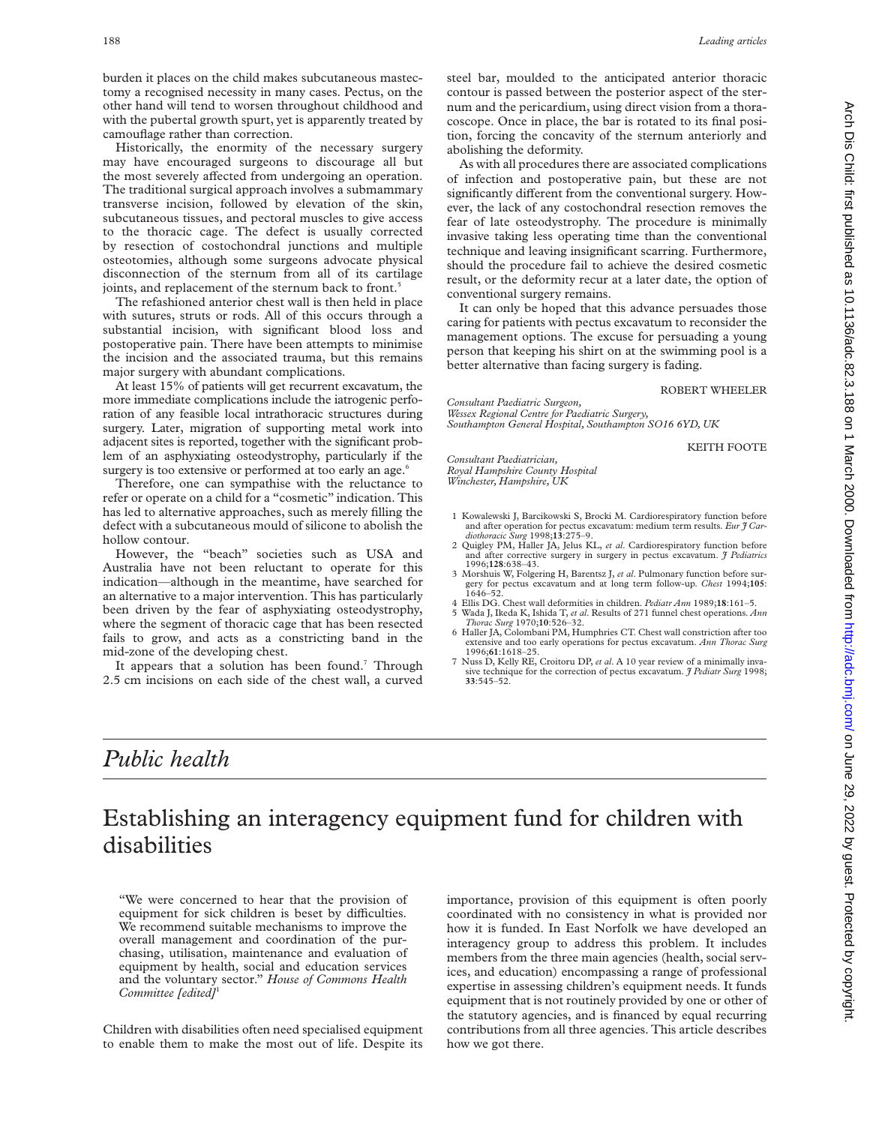burden it places on the child makes subcutaneous mastectomy a recognised necessity in many cases. Pectus, on the other hand will tend to worsen throughout childhood and with the pubertal growth spurt, yet is apparently treated by camouflage rather than correction.

Historically, the enormity of the necessary surgery may have encouraged surgeons to discourage all but the most severely affected from undergoing an operation. The traditional surgical approach involves a submammary transverse incision, followed by elevation of the skin, subcutaneous tissues, and pectoral muscles to give access to the thoracic cage. The defect is usually corrected by resection of costochondral junctions and multiple osteotomies, although some surgeons advocate physical disconnection of the sternum from all of its cartilage joints, and replacement of the sternum back to front.<sup>5</sup>

The refashioned anterior chest wall is then held in place with sutures, struts or rods. All of this occurs through a substantial incision, with significant blood loss and postoperative pain. There have been attempts to minimise the incision and the associated trauma, but this remains major surgery with abundant complications.

At least 15% of patients will get recurrent excavatum, the more immediate complications include the iatrogenic perforation of any feasible local intrathoracic structures during surgery. Later, migration of supporting metal work into adjacent sites is reported, together with the significant problem of an asphyxiating osteodystrophy, particularly if the surgery is too extensive or performed at too early an age.<sup>6</sup>

Therefore, one can sympathise with the reluctance to refer or operate on a child for a "cosmetic" indication. This has led to alternative approaches, such as merely filling the defect with a subcutaneous mould of silicone to abolish the hollow contour.

However, the "beach" societies such as USA and Australia have not been reluctant to operate for this indication—although in the meantime, have searched for an alternative to a major intervention. This has particularly been driven by the fear of asphyxiating osteodystrophy, where the segment of thoracic cage that has been resected fails to grow, and acts as a constricting band in the mid-zone of the developing chest.

It appears that a solution has been found.<sup>7</sup> Through 2.5 cm incisions on each side of the chest wall, a curved steel bar, moulded to the anticipated anterior thoracic contour is passed between the posterior aspect of the sternum and the pericardium, using direct vision from a thoracoscope. Once in place, the bar is rotated to its final position, forcing the concavity of the sternum anteriorly and abolishing the deformity.

As with all procedures there are associated complications of infection and postoperative pain, but these are not significantly different from the conventional surgery. However, the lack of any costochondral resection removes the fear of late osteodystrophy. The procedure is minimally invasive taking less operating time than the conventional technique and leaving insignificant scarring. Furthermore, should the procedure fail to achieve the desired cosmetic result, or the deformity recur at a later date, the option of conventional surgery remains.

It can only be hoped that this advance persuades those caring for patients with pectus excavatum to reconsider the management options. The excuse for persuading a young person that keeping his shirt on at the swimming pool is a better alternative than facing surgery is fading.

### ROBERT WHEELER

*Consultant Paediatric Surgeon, Wessex Regional Centre for Paediatric Surgery, Southampton General Hospital, Southampton SO16 6YD, UK*

KEITH FOOTE

*Consultant Paediatrician, Royal Hampshire County Hospital Winchester, Hampshire, UK*

- 1 Kowalewski J, Barcikowski S, Brocki M. Cardiorespiratory function before and after operation for pectus excavatum: medium term results. *Eur J Car-diothoracic Surg* 1998;**13**:275–9.
- 2 Quigley PM, Haller JA, Jelus KL, *et al*. Cardiorespiratory function before and after corrective surgery in surgery in pectus excavatum. *J Pediatrics* 1996;**128**:638–43.
- 3 Morshuis W, Folgering H, Barentsz J, *et al*. Pulmonary function before surgery for pectus excavatum and at long term follow-up. *Chest* 1994;**105**: 1646–52.
- 4 Ellis DG. Chest wall deformities in children. *Pediatr Ann* 1989;**18**:161–5. 5 Wada J, Ikeda K, Ishida T, *et al*. Results of 271 funnel chest operations. *Ann Thorac Surg* 1970;**10**:526–32.
- 6 Haller JA, Colombani PM, Humphries CT. Chest wall constriction after too extensive and too early operations for pectus excavatum. *Ann Thorac Surg*
- 1996;**61**:1618–25. 7 Nuss D, Kelly RE, Croitoru DP, *et al*. A 10 year review of a minimally inva-
- sive technique for the correction of pectus excavatum. *J Pediatr Surg* 1998; **33**:545–52.

# *Public health*

# Establishing an interagency equipment fund for children with disabilities

"We were concerned to hear that the provision of equipment for sick children is beset by difficulties. We recommend suitable mechanisms to improve the overall management and coordination of the purchasing, utilisation, maintenance and evaluation of equipment by health, social and education services and the voluntary sector." *House of Commons Health Committee [edited]*<sup>1</sup>

Children with disabilities often need specialised equipment to enable them to make the most out of life. Despite its importance, provision of this equipment is often poorly coordinated with no consistency in what is provided nor how it is funded. In East Norfolk we have developed an interagency group to address this problem. It includes members from the three main agencies (health, social services, and education) encompassing a range of professional expertise in assessing children's equipment needs. It funds equipment that is not routinely provided by one or other of the statutory agencies, and is financed by equal recurring contributions from all three agencies. This article describes how we got there.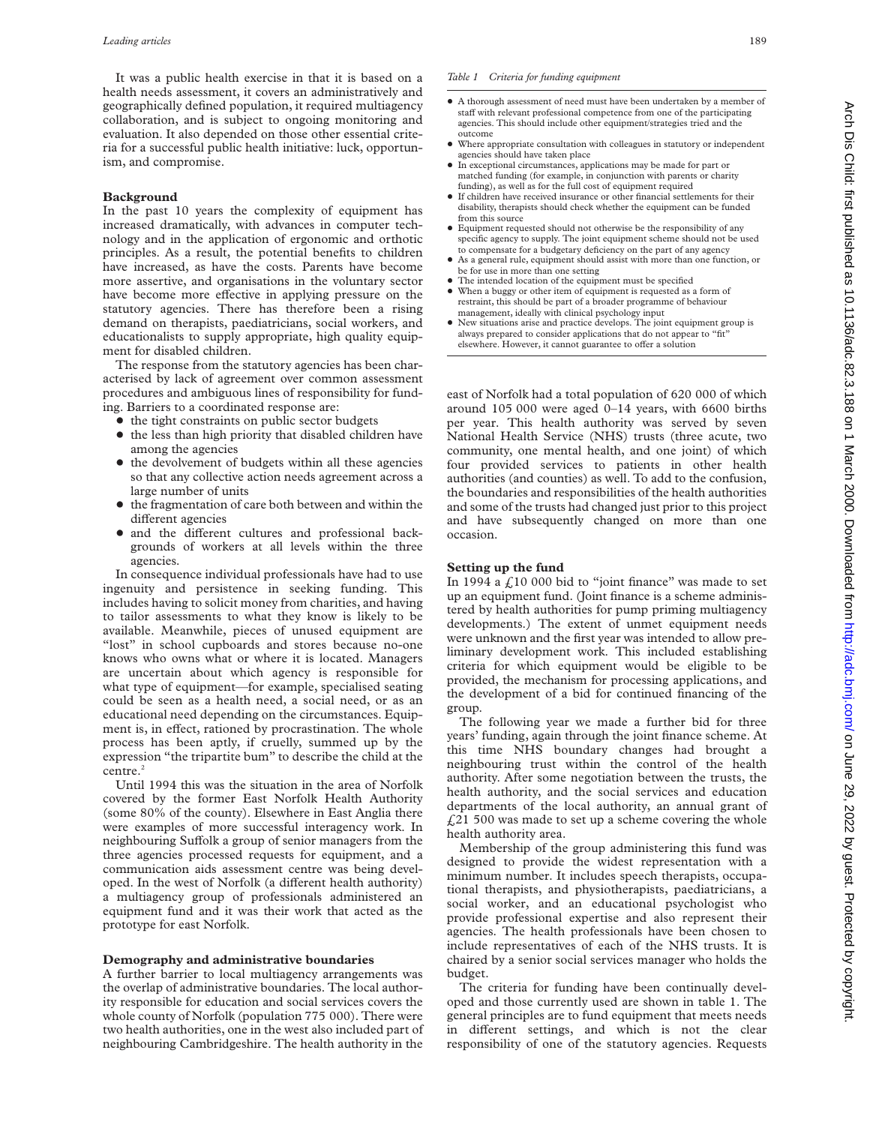It was a public health exercise in that it is based on a health needs assessment, it covers an administratively and geographically defined population, it required multiagency collaboration, and is subject to ongoing monitoring and evaluation. It also depended on those other essential criteria for a successful public health initiative: luck, opportunism, and compromise.

### **Background**

In the past 10 years the complexity of equipment has increased dramatically, with advances in computer technology and in the application of ergonomic and orthotic principles. As a result, the potential benefits to children have increased, as have the costs. Parents have become more assertive, and organisations in the voluntary sector have become more effective in applying pressure on the statutory agencies. There has therefore been a rising demand on therapists, paediatricians, social workers, and educationalists to supply appropriate, high quality equipment for disabled children.

The response from the statutory agencies has been characterised by lack of agreement over common assessment procedures and ambiguous lines of responsibility for funding. Barriers to a coordinated response are:

- $\bullet$  the tight constraints on public sector budgets
- the less than high priority that disabled children have among the agencies
- the devolvement of budgets within all these agencies so that any collective action needs agreement across a large number of units
- the fragmentation of care both between and within the different agencies
- $\bullet$  and the different cultures and professional backgrounds of workers at all levels within the three agencies.

In consequence individual professionals have had to use ingenuity and persistence in seeking funding. This includes having to solicit money from charities, and having to tailor assessments to what they know is likely to be available. Meanwhile, pieces of unused equipment are "lost" in school cupboards and stores because no-one knows who owns what or where it is located. Managers are uncertain about which agency is responsible for what type of equipment—for example, specialised seating could be seen as a health need, a social need, or as an educational need depending on the circumstances. Equipment is, in effect, rationed by procrastination. The whole process has been aptly, if cruelly, summed up by the expression "the tripartite bum" to describe the child at the centre.<sup>2</sup>

Until 1994 this was the situation in the area of Norfolk covered by the former East Norfolk Health Authority (some 80% of the county). Elsewhere in East Anglia there were examples of more successful interagency work. In neighbouring Suffolk a group of senior managers from the three agencies processed requests for equipment, and a communication aids assessment centre was being developed. In the west of Norfolk (a different health authority) a multiagency group of professionals administered an equipment fund and it was their work that acted as the prototype for east Norfolk.

### **Demography and administrative boundaries**

A further barrier to local multiagency arrangements was the overlap of administrative boundaries. The local authority responsible for education and social services covers the whole county of Norfolk (population 775 000). There were two health authorities, one in the west also included part of neighbouring Cambridgeshire. The health authority in the

### *Table 1 Criteria for funding equipment*

- + A thorough assessment of need must have been undertaken by a member of staff with relevant professional competence from one of the participating agencies. This should include other equipment/strategies tried and the outcome
- + Where appropriate consultation with colleagues in statutory or independent agencies should have taken place
- $\bullet$  In exceptional circumstances, applications may be made for part or matched funding (for example, in conjunction with parents or charity funding), as well as for the full cost of equipment required
- + If children have received insurance or other financial settlements for their disability, therapists should check whether the equipment can be funded from this source
- + Equipment requested should not otherwise be the responsibility of any specific agency to supply. The joint equipment scheme should not be used to compensate for a budgetary deficiency on the part of any agency
- + As a general rule, equipment should assist with more than one function, or be for use in more than one setting
- The intended location of the equipment must be specified
- + When a buggy or other item of equipment is requested as a form of restraint, this should be part of a broader programme of behaviour management, ideally with clinical psychology input
- + New situations arise and practice develops. The joint equipment group is always prepared to consider applications that do not appear to "fit" elsewhere. However, it cannot guarantee to offer a solution

east of Norfolk had a total population of 620 000 of which around 105 000 were aged 0–14 years, with 6600 births per year. This health authority was served by seven National Health Service (NHS) trusts (three acute, two community, one mental health, and one joint) of which four provided services to patients in other health authorities (and counties) as well. To add to the confusion, the boundaries and responsibilities of the health authorities and some of the trusts had changed just prior to this project and have subsequently changed on more than one occasion.

### **Setting up the fund**

In 1994 a  $\frac{1}{2}$ ,10 000 bid to "joint finance" was made to set up an equipment fund. (Joint finance is a scheme administered by health authorities for pump priming multiagency developments.) The extent of unmet equipment needs were unknown and the first year was intended to allow preliminary development work. This included establishing criteria for which equipment would be eligible to be provided, the mechanism for processing applications, and the development of a bid for continued financing of the group.

The following year we made a further bid for three years' funding, again through the joint finance scheme. At this time NHS boundary changes had brought a neighbouring trust within the control of the health authority. After some negotiation between the trusts, the health authority, and the social services and education departments of the local authority, an annual grant of  $\text{\emph{£}}21$  500 was made to set up a scheme covering the whole health authority area.

Membership of the group administering this fund was designed to provide the widest representation with a minimum number. It includes speech therapists, occupational therapists, and physiotherapists, paediatricians, a social worker, and an educational psychologist who provide professional expertise and also represent their agencies. The health professionals have been chosen to include representatives of each of the NHS trusts. It is chaired by a senior social services manager who holds the budget.

The criteria for funding have been continually developed and those currently used are shown in table 1. The general principles are to fund equipment that meets needs in different settings, and which is not the clear responsibility of one of the statutory agencies. Requests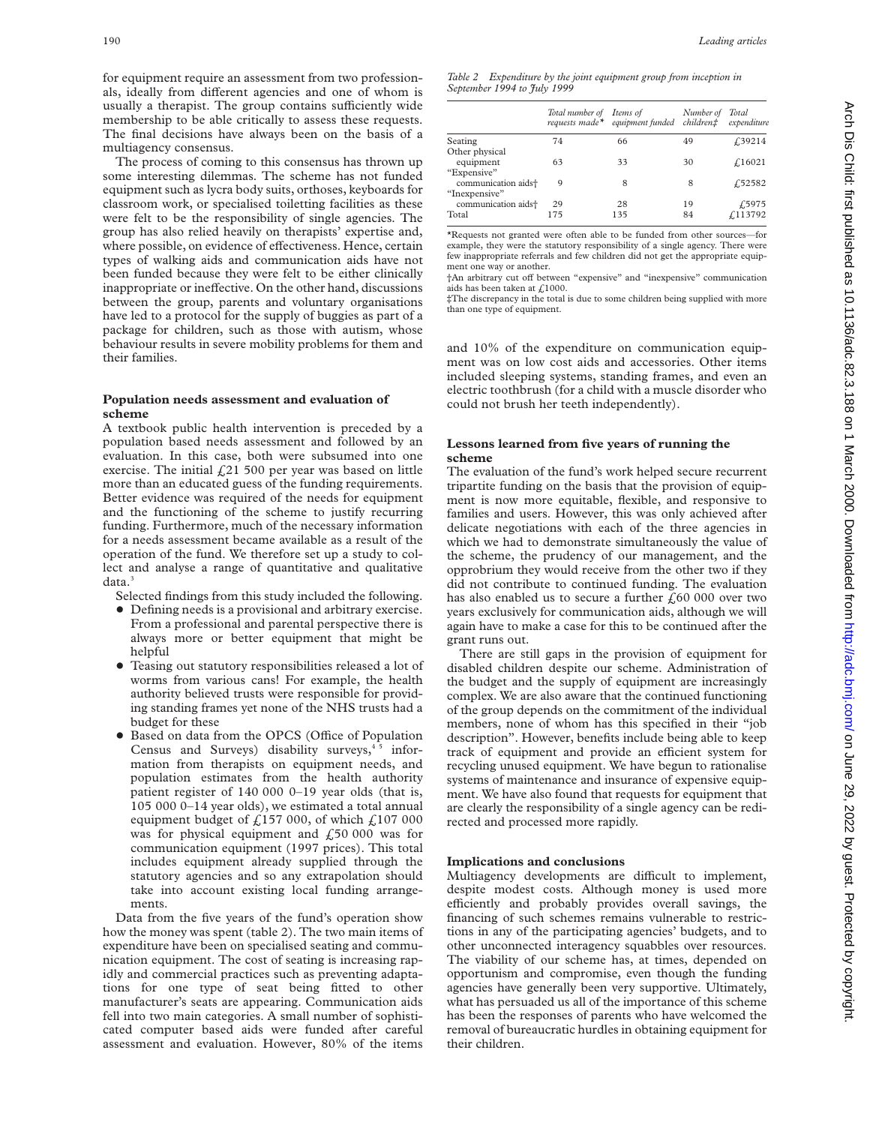for equipment require an assessment from two professionals, ideally from different agencies and one of whom is usually a therapist. The group contains sufficiently wide membership to be able critically to assess these requests. The final decisions have always been on the basis of a multiagency consensus.

The process of coming to this consensus has thrown up some interesting dilemmas. The scheme has not funded equipment such as lycra body suits, orthoses, keyboards for classroom work, or specialised toiletting facilities as these were felt to be the responsibility of single agencies. The group has also relied heavily on therapists' expertise and, where possible, on evidence of effectiveness. Hence, certain types of walking aids and communication aids have not been funded because they were felt to be either clinically inappropriate or ineffective. On the other hand, discussions between the group, parents and voluntary organisations have led to a protocol for the supply of buggies as part of a package for children, such as those with autism, whose behaviour results in severe mobility problems for them and their families.

### **Population needs assessment and evaluation of scheme**

A textbook public health intervention is preceded by a population based needs assessment and followed by an evaluation. In this case, both were subsumed into one exercise. The initial  $\text{\textsterling}21$  500 per year was based on little more than an educated guess of the funding requirements. Better evidence was required of the needs for equipment and the functioning of the scheme to justify recurring funding. Furthermore, much of the necessary information for a needs assessment became available as a result of the operation of the fund. We therefore set up a study to collect and analyse a range of quantitative and qualitative data.<sup>3</sup>

Selected findings from this study included the following.

- + Defining needs is a provisional and arbitrary exercise. From a professional and parental perspective there is always more or better equipment that might be helpful
- Teasing out statutory responsibilities released a lot of worms from various cans! For example, the health authority believed trusts were responsible for providing standing frames yet none of the NHS trusts had a budget for these
- $\bullet$  Based on data from the OPCS (Office of Population Census and Surveys) disability surveys, $45$  information from therapists on equipment needs, and population estimates from the health authority patient register of 140 000 0–19 year olds (that is, 105 000 0–14 year olds), we estimated a total annual equipment budget of  $\text{\textsterling}157\,000$ , of which  $\text{\textsterling}107\,000$ was for physical equipment and  $\text{\emph{L}}50\text{ }000$  was for communication equipment (1997 prices). This total includes equipment already supplied through the statutory agencies and so any extrapolation should take into account existing local funding arrangements.

Data from the five years of the fund's operation show how the money was spent (table 2). The two main items of expenditure have been on specialised seating and communication equipment. The cost of seating is increasing rapidly and commercial practices such as preventing adaptations for one type of seat being fitted to other manufacturer's seats are appearing. Communication aids fell into two main categories. A small number of sophisticated computer based aids were funded after careful assessment and evaluation. However, 80% of the items

| Table 2 Expenditure by the joint equipment group from inception in |  |  |  |
|--------------------------------------------------------------------|--|--|--|
| September 1994 to July 1999                                        |  |  |  |

|                                                                 | Total number of Items of | requests made <sup>*</sup> equipment funded children# expenditure | Number of | Total                  |
|-----------------------------------------------------------------|--------------------------|-------------------------------------------------------------------|-----------|------------------------|
| Seating                                                         | 74                       | 66                                                                | 49        | £39214                 |
| Other physical<br>equipment                                     | 63                       | 33                                                                | 30        | £16021                 |
| "Expensive"<br>communication aids <sup>+</sup><br>"Inexpensive" | 9                        | 8                                                                 | 8         | £52582                 |
| communication aids <sup>+</sup><br>Total                        | 29<br>175                | 28<br>135                                                         | 19<br>84  | $f_{.}5975$<br>£113792 |

\*Requests not granted were often able to be funded from other sources—for example, they were the statutory responsibility of a single agency. There were few inappropriate referrals and few children did not get the appropriate equipment one way or another.

†An arbitrary cut oV between "expensive" and "inexpensive" communication aids has been taken at  $\text{\pounds}1000$ .

‡The discrepancy in the total is due to some children being supplied with more than one type of equipment.

and 10% of the expenditure on communication equipment was on low cost aids and accessories. Other items included sleeping systems, standing frames, and even an electric toothbrush (for a child with a muscle disorder who could not brush her teeth independently).

### **Lessons learned from five years of running the scheme**

The evaluation of the fund's work helped secure recurrent tripartite funding on the basis that the provision of equipment is now more equitable, flexible, and responsive to families and users. However, this was only achieved after delicate negotiations with each of the three agencies in which we had to demonstrate simultaneously the value of the scheme, the prudency of our management, and the opprobrium they would receive from the other two if they did not contribute to continued funding. The evaluation has also enabled us to secure a further  $\text{\emph{£}}60\text{ }000$  over two years exclusively for communication aids, although we will again have to make a case for this to be continued after the grant runs out.

There are still gaps in the provision of equipment for disabled children despite our scheme. Administration of the budget and the supply of equipment are increasingly complex. We are also aware that the continued functioning of the group depends on the commitment of the individual members, none of whom has this specified in their "job description". However, benefits include being able to keep track of equipment and provide an efficient system for recycling unused equipment. We have begun to rationalise systems of maintenance and insurance of expensive equipment. We have also found that requests for equipment that are clearly the responsibility of a single agency can be redirected and processed more rapidly.

### **Implications and conclusions**

Multiagency developments are difficult to implement, despite modest costs. Although money is used more efficiently and probably provides overall savings, the financing of such schemes remains vulnerable to restrictions in any of the participating agencies' budgets, and to other unconnected interagency squabbles over resources. The viability of our scheme has, at times, depended on opportunism and compromise, even though the funding agencies have generally been very supportive. Ultimately, what has persuaded us all of the importance of this scheme has been the responses of parents who have welcomed the removal of bureaucratic hurdles in obtaining equipment for their children.